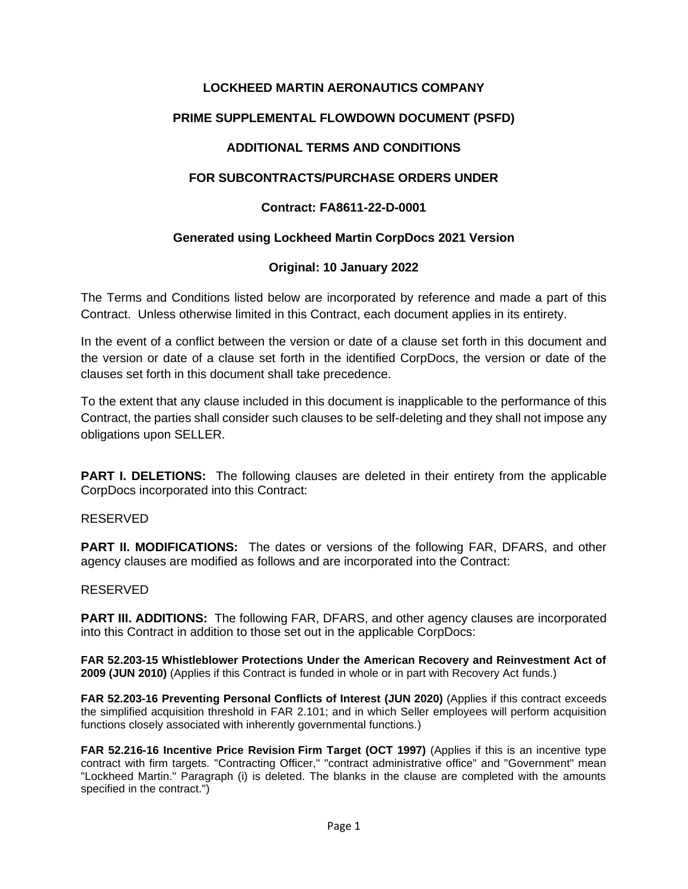# **LOCKHEED MARTIN AERONAUTICS COMPANY**

# **PRIME SUPPLEMENTAL FLOWDOWN DOCUMENT (PSFD)**

# **ADDITIONAL TERMS AND CONDITIONS**

## **FOR SUBCONTRACTS/PURCHASE ORDERS UNDER**

### **Contract: FA8611-22-D-0001**

## **Generated using Lockheed Martin CorpDocs 2021 Version**

## **Original: 10 January 2022**

The Terms and Conditions listed below are incorporated by reference and made a part of this Contract. Unless otherwise limited in this Contract, each document applies in its entirety.

In the event of a conflict between the version or date of a clause set forth in this document and the version or date of a clause set forth in the identified CorpDocs, the version or date of the clauses set forth in this document shall take precedence.

To the extent that any clause included in this document is inapplicable to the performance of this Contract, the parties shall consider such clauses to be self-deleting and they shall not impose any obligations upon SELLER.

**PART I. DELETIONS:** The following clauses are deleted in their entirety from the applicable CorpDocs incorporated into this Contract:

#### RESERVED

**PART II. MODIFICATIONS:** The dates or versions of the following FAR, DFARS, and other agency clauses are modified as follows and are incorporated into the Contract:

#### RESERVED

**PART III. ADDITIONS:** The following FAR, DFARS, and other agency clauses are incorporated into this Contract in addition to those set out in the applicable CorpDocs:

**FAR 52.203-15 Whistleblower Protections Under the American Recovery and Reinvestment Act of 2009 (JUN 2010)** (Applies if this Contract is funded in whole or in part with Recovery Act funds.)

**FAR 52.203-16 Preventing Personal Conflicts of Interest (JUN 2020)** (Applies if this contract exceeds the simplified acquisition threshold in FAR 2.101; and in which Seller employees will perform acquisition functions closely associated with inherently governmental functions.)

**FAR 52.216-16 Incentive Price Revision Firm Target (OCT 1997)** (Applies if this is an incentive type contract with firm targets. "Contracting Officer," "contract administrative office" and "Government" mean "Lockheed Martin." Paragraph (i) is deleted. The blanks in the clause are completed with the amounts specified in the contract.")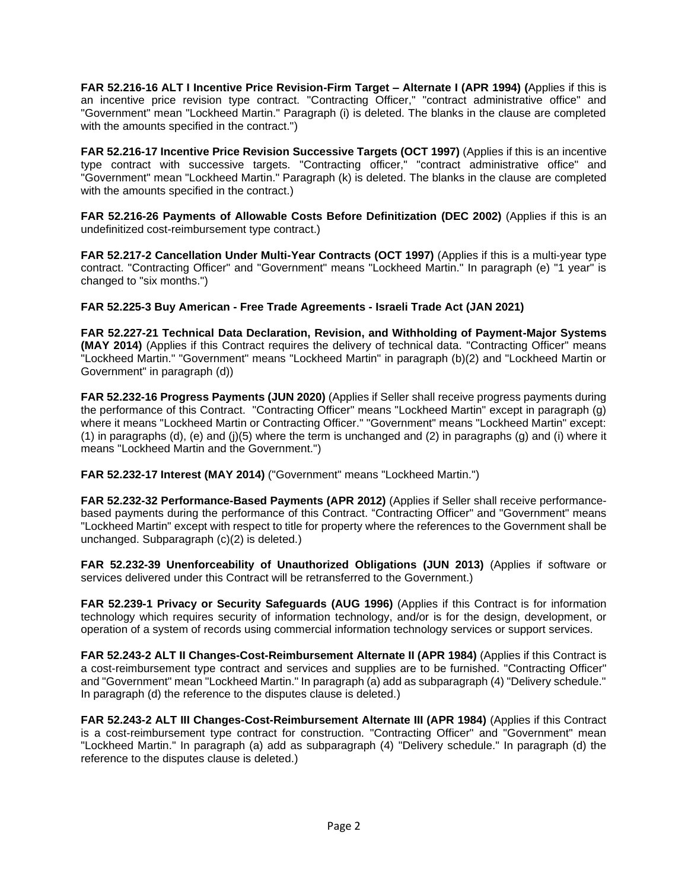**FAR 52.216-16 ALT I Incentive Price Revision-Firm Target – Alternate I (APR 1994) (**Applies if this is an incentive price revision type contract. "Contracting Officer," "contract administrative office" and "Government" mean "Lockheed Martin." Paragraph (i) is deleted. The blanks in the clause are completed with the amounts specified in the contract.")

**FAR 52.216-17 Incentive Price Revision Successive Targets (OCT 1997)** (Applies if this is an incentive type contract with successive targets. "Contracting officer," "contract administrative office" and "Government" mean "Lockheed Martin." Paragraph (k) is deleted. The blanks in the clause are completed with the amounts specified in the contract.)

**FAR 52.216-26 Payments of Allowable Costs Before Definitization (DEC 2002)** (Applies if this is an undefinitized cost-reimbursement type contract.)

**FAR 52.217-2 Cancellation Under Multi-Year Contracts (OCT 1997)** (Applies if this is a multi-year type contract. "Contracting Officer" and "Government" means "Lockheed Martin." In paragraph (e) "1 year" is changed to "six months.")

#### **FAR 52.225-3 Buy American - Free Trade Agreements - Israeli Trade Act (JAN 2021)**

**FAR 52.227-21 Technical Data Declaration, Revision, and Withholding of Payment-Major Systems (MAY 2014)** (Applies if this Contract requires the delivery of technical data. "Contracting Officer" means "Lockheed Martin." "Government" means "Lockheed Martin" in paragraph (b)(2) and "Lockheed Martin or Government" in paragraph (d))

**FAR 52.232-16 Progress Payments (JUN 2020)** (Applies if Seller shall receive progress payments during the performance of this Contract. "Contracting Officer" means "Lockheed Martin" except in paragraph (g) where it means "Lockheed Martin or Contracting Officer." "Government" means "Lockheed Martin" except: (1) in paragraphs (d), (e) and (j)(5) where the term is unchanged and (2) in paragraphs (g) and (i) where it means "Lockheed Martin and the Government.")

**FAR 52.232-17 Interest (MAY 2014)** ("Government" means "Lockheed Martin.")

**FAR 52.232-32 Performance-Based Payments (APR 2012)** (Applies if Seller shall receive performancebased payments during the performance of this Contract. "Contracting Officer" and "Government" means "Lockheed Martin" except with respect to title for property where the references to the Government shall be unchanged. Subparagraph (c)(2) is deleted.)

**FAR 52.232-39 Unenforceability of Unauthorized Obligations (JUN 2013)** (Applies if software or services delivered under this Contract will be retransferred to the Government.)

**FAR 52.239-1 Privacy or Security Safeguards (AUG 1996)** (Applies if this Contract is for information technology which requires security of information technology, and/or is for the design, development, or operation of a system of records using commercial information technology services or support services.

**FAR 52.243-2 ALT II Changes-Cost-Reimbursement Alternate II (APR 1984)** (Applies if this Contract is a cost-reimbursement type contract and services and supplies are to be furnished. "Contracting Officer" and "Government" mean "Lockheed Martin." In paragraph (a) add as subparagraph (4) "Delivery schedule." In paragraph (d) the reference to the disputes clause is deleted.)

**FAR 52.243-2 ALT III Changes-Cost-Reimbursement Alternate III (APR 1984)** (Applies if this Contract is a cost-reimbursement type contract for construction. "Contracting Officer" and "Government" mean "Lockheed Martin." In paragraph (a) add as subparagraph (4) "Delivery schedule." In paragraph (d) the reference to the disputes clause is deleted.)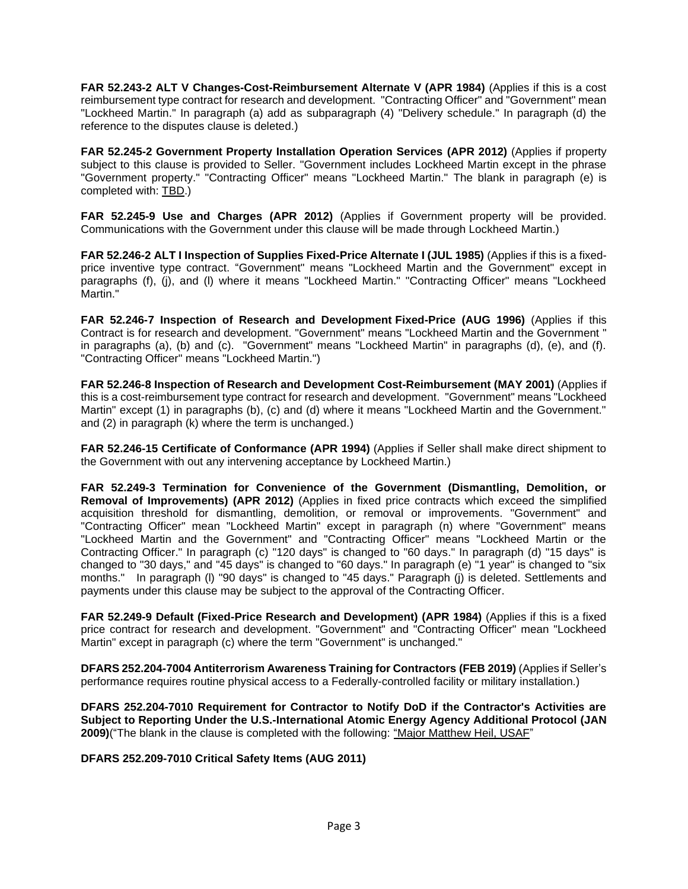**FAR 52.243-2 ALT V Changes-Cost-Reimbursement Alternate V (APR 1984)** (Applies if this is a cost reimbursement type contract for research and development. "Contracting Officer" and "Government" mean "Lockheed Martin." In paragraph (a) add as subparagraph (4) "Delivery schedule." In paragraph (d) the reference to the disputes clause is deleted.)

**FAR 52.245-2 Government Property Installation Operation Services (APR 2012)** (Applies if property subject to this clause is provided to Seller. "Government includes Lockheed Martin except in the phrase "Government property." "Contracting Officer" means "Lockheed Martin." The blank in paragraph (e) is completed with: TBD.)

**FAR 52.245-9 Use and Charges (APR 2012)** (Applies if Government property will be provided. Communications with the Government under this clause will be made through Lockheed Martin.)

**FAR 52.246-2 ALT I Inspection of Supplies Fixed-Price Alternate I (JUL 1985)** (Applies if this is a fixedprice inventive type contract. "Government" means "Lockheed Martin and the Government" except in paragraphs (f), (j), and (l) where it means "Lockheed Martin." "Contracting Officer" means "Lockheed Martin."

**FAR 52.246-7 Inspection of Research and Development Fixed-Price (AUG 1996)** (Applies if this Contract is for research and development. "Government" means "Lockheed Martin and the Government " in paragraphs (a), (b) and (c). "Government" means "Lockheed Martin" in paragraphs (d), (e), and (f). "Contracting Officer" means "Lockheed Martin.")

**FAR 52.246-8 Inspection of Research and Development Cost-Reimbursement (MAY 2001)** (Applies if this is a cost-reimbursement type contract for research and development. "Government" means "Lockheed Martin" except (1) in paragraphs (b), (c) and (d) where it means "Lockheed Martin and the Government." and (2) in paragraph (k) where the term is unchanged.)

**FAR 52.246-15 Certificate of Conformance (APR 1994)** (Applies if Seller shall make direct shipment to the Government with out any intervening acceptance by Lockheed Martin.)

**FAR 52.249-3 Termination for Convenience of the Government (Dismantling, Demolition, or Removal of Improvements) (APR 2012)** (Applies in fixed price contracts which exceed the simplified acquisition threshold for dismantling, demolition, or removal or improvements. "Government" and "Contracting Officer" mean "Lockheed Martin" except in paragraph (n) where "Government" means "Lockheed Martin and the Government" and "Contracting Officer" means "Lockheed Martin or the Contracting Officer." In paragraph (c) "120 days" is changed to "60 days." In paragraph (d) "15 days" is changed to "30 days," and "45 days" is changed to "60 days." In paragraph (e) "1 year" is changed to "six months." In paragraph (l) "90 days" is changed to "45 days." Paragraph (j) is deleted. Settlements and payments under this clause may be subject to the approval of the Contracting Officer.

**FAR 52.249-9 Default (Fixed-Price Research and Development) (APR 1984)** (Applies if this is a fixed price contract for research and development. "Government" and "Contracting Officer" mean "Lockheed Martin" except in paragraph (c) where the term "Government" is unchanged."

**DFARS 252.204-7004 Antiterrorism Awareness Training for Contractors (FEB 2019)** (Applies if Seller's performance requires routine physical access to a Federally-controlled facility or military installation.)

**DFARS 252.204-7010 Requirement for Contractor to Notify DoD if the Contractor's Activities are Subject to Reporting Under the U.S.-International Atomic Energy Agency Additional Protocol (JAN 2009)**("The blank in the clause is completed with the following: "Major Matthew Heil, USAF"

**DFARS 252.209-7010 Critical Safety Items (AUG 2011)**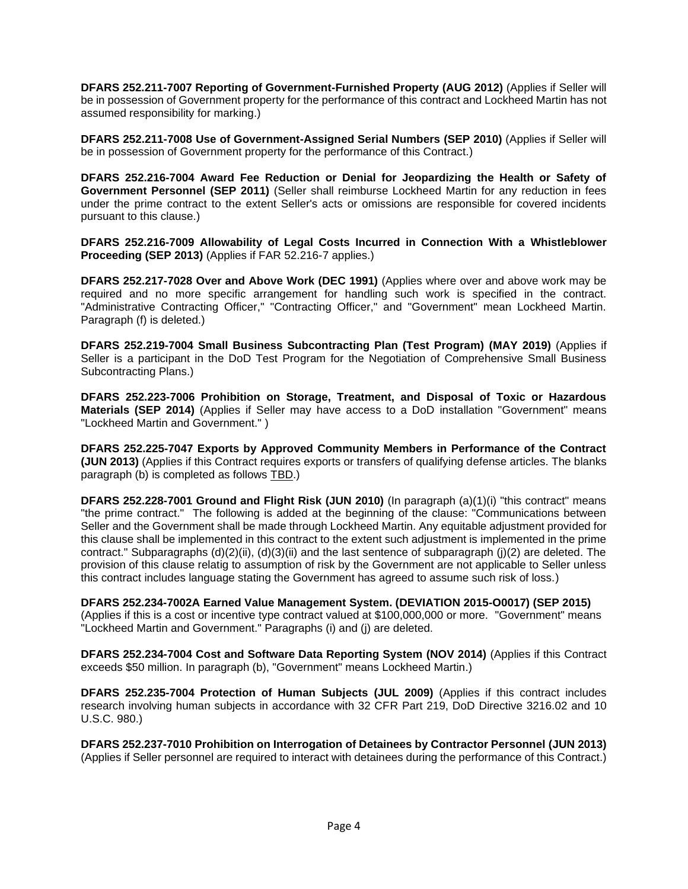**DFARS 252.211-7007 Reporting of Government-Furnished Property (AUG 2012)** (Applies if Seller will be in possession of Government property for the performance of this contract and Lockheed Martin has not assumed responsibility for marking.)

**DFARS 252.211-7008 Use of Government-Assigned Serial Numbers (SEP 2010)** (Applies if Seller will be in possession of Government property for the performance of this Contract.)

**DFARS 252.216-7004 Award Fee Reduction or Denial for Jeopardizing the Health or Safety of Government Personnel (SEP 2011)** (Seller shall reimburse Lockheed Martin for any reduction in fees under the prime contract to the extent Seller's acts or omissions are responsible for covered incidents pursuant to this clause.)

**DFARS 252.216-7009 Allowability of Legal Costs Incurred in Connection With a Whistleblower Proceeding (SEP 2013)** (Applies if FAR 52.216-7 applies.)

**DFARS 252.217-7028 Over and Above Work (DEC 1991)** (Applies where over and above work may be required and no more specific arrangement for handling such work is specified in the contract. "Administrative Contracting Officer," "Contracting Officer," and "Government" mean Lockheed Martin. Paragraph (f) is deleted.)

**DFARS 252.219-7004 Small Business Subcontracting Plan (Test Program) (MAY 2019)** (Applies if Seller is a participant in the DoD Test Program for the Negotiation of Comprehensive Small Business Subcontracting Plans.)

**DFARS 252.223-7006 Prohibition on Storage, Treatment, and Disposal of Toxic or Hazardous Materials (SEP 2014)** (Applies if Seller may have access to a DoD installation "Government" means "Lockheed Martin and Government." )

**DFARS 252.225-7047 Exports by Approved Community Members in Performance of the Contract (JUN 2013)** (Applies if this Contract requires exports or transfers of qualifying defense articles. The blanks paragraph (b) is completed as follows TBD.)

**DFARS 252.228-7001 Ground and Flight Risk (JUN 2010)** (In paragraph (a)(1)(i) "this contract" means "the prime contract." The following is added at the beginning of the clause: "Communications between Seller and the Government shall be made through Lockheed Martin. Any equitable adjustment provided for this clause shall be implemented in this contract to the extent such adjustment is implemented in the prime contract." Subparagraphs (d)(2)(ii), (d)(3)(ii) and the last sentence of subparagraph (j)(2) are deleted. The provision of this clause relatig to assumption of risk by the Government are not applicable to Seller unless this contract includes language stating the Government has agreed to assume such risk of loss.)

**DFARS 252.234-7002A Earned Value Management System. (DEVIATION 2015-O0017) (SEP 2015)** (Applies if this is a cost or incentive type contract valued at \$100,000,000 or more. "Government" means "Lockheed Martin and Government." Paragraphs (i) and (j) are deleted.

**DFARS 252.234-7004 Cost and Software Data Reporting System (NOV 2014)** (Applies if this Contract exceeds \$50 million. In paragraph (b), "Government" means Lockheed Martin.)

**DFARS 252.235-7004 Protection of Human Subjects (JUL 2009)** (Applies if this contract includes research involving human subjects in accordance with 32 CFR Part 219, DoD Directive 3216.02 and 10 U.S.C. 980.)

**DFARS 252.237-7010 Prohibition on Interrogation of Detainees by Contractor Personnel (JUN 2013)**  (Applies if Seller personnel are required to interact with detainees during the performance of this Contract.)